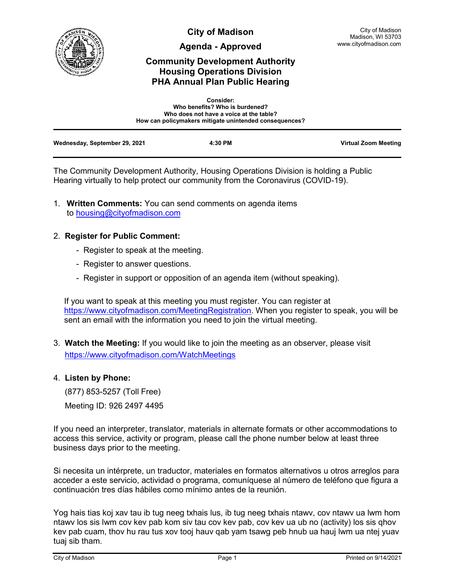

**City of Madison**

**Agenda - Approved**

# **Community Development Authority Housing Operations Division PHA Annual Plan Public Hearing**

|                               | <b>Consider:</b><br>Who benefits? Who is burdened?<br>Who does not have a voice at the table?<br>How can policymakers mitigate unintended consequences? |                      |
|-------------------------------|---------------------------------------------------------------------------------------------------------------------------------------------------------|----------------------|
| Wednesday, September 29, 2021 | 4:30 PM                                                                                                                                                 | Virtual Zoom Meeting |

The Community Development Authority, Housing Operations Division is holding a Public Hearing virtually to help protect our community from the Coronavirus (COVID-19).

1. **Written Comments:** You can send comments on agenda items to [housing@cityofmadison.com](mailto:housing@cityofmadison.com)

## 2. **Register for Public Comment:**

- Register to speak at the meeting.
- Register to answer questions.
- Register in support or opposition of an agenda item (without speaking).

If you want to speak at this meeting you must register. You can register at [https://www.cityofmadison.com/MeetingRegistration.](https://www.cityofmadison.com/MeetingRegistration) When you register to speak, you will be sent an email with the information you need to join the virtual meeting.

3. **Watch the Meeting:** If you would like to join the meeting as an observer, please visit <https://www.cityofmadison.com/WatchMeetings>

## 4. **Listen by Phone:**

 (877) 853-5257 (Toll Free) Meeting ID: 926 2497 4495

If you need an interpreter, translator, materials in alternate formats or other accommodations to access this service, activity or program, please call the phone number below at least three business days prior to the meeting.

Si necesita un intérprete, un traductor, materiales en formatos alternativos u otros arreglos para acceder a este servicio, actividad o programa, comuníquese al número de teléfono que figura a continuación tres días hábiles como mínimo antes de la reunión.

Yog hais tias koj xav tau ib tug neeg txhais lus, ib tug neeg txhais ntawv, cov ntawv ua lwm hom ntawv los sis lwm cov kev pab kom siv tau cov kev pab, cov kev ua ub no (activity) los sis qhov kev pab cuam, thov hu rau tus xov tooj hauv qab yam tsawg peb hnub ua hauj lwm ua ntej yuav tuaj sib tham.